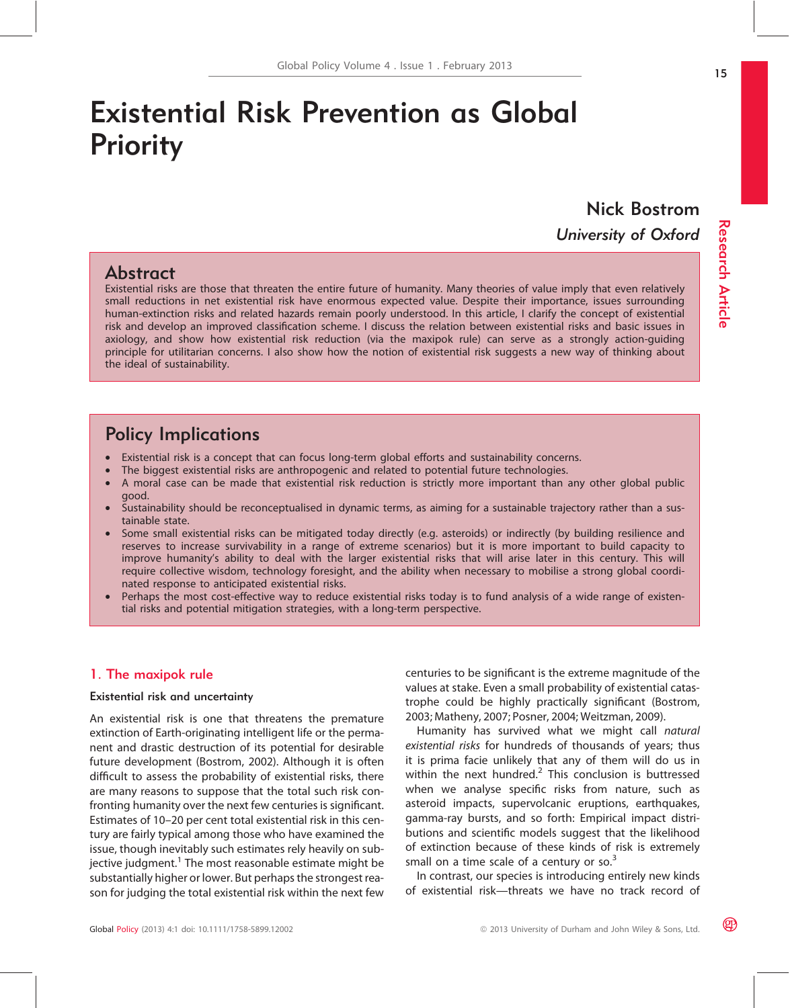# Existential Risk Prevention as Global **Priority**

## Nick Bostrom University of Oxford

## Abstract

Existential risks are those that threaten the entire future of humanity. Many theories of value imply that even relatively small reductions in net existential risk have enormous expected value. Despite their importance, issues surrounding human-extinction risks and related hazards remain poorly understood. In this article, I clarify the concept of existential risk and develop an improved classification scheme. I discuss the relation between existential risks and basic issues in axiology, and show how existential risk reduction (via the maxipok rule) can serve as a strongly action-guiding principle for utilitarian concerns. I also show how the notion of existential risk suggests a new way of thinking about the ideal of sustainability.

## Policy Implications

- Existential risk is a concept that can focus long-term global efforts and sustainability concerns.
- The biggest existential risks are anthropogenic and related to potential future technologies.
- A moral case can be made that existential risk reduction is strictly more important than any other global public good.
- Sustainability should be reconceptualised in dynamic terms, as aiming for a sustainable trajectory rather than a sustainable state.
- Some small existential risks can be mitigated today directly (e.g. asteroids) or indirectly (by building resilience and reserves to increase survivability in a range of extreme scenarios) but it is more important to build capacity to improve humanity's ability to deal with the larger existential risks that will arise later in this century. This will require collective wisdom, technology foresight, and the ability when necessary to mobilise a strong global coordinated response to anticipated existential risks.
- Perhaps the most cost-effective way to reduce existential risks today is to fund analysis of a wide range of existential risks and potential mitigation strategies, with a long-term perspective.

## 1. The maxipok rule

#### Existential risk and uncertainty

An existential risk is one that threatens the premature extinction of Earth-originating intelligent life or the permanent and drastic destruction of its potential for desirable future development (Bostrom, 2002). Although it is often difficult to assess the probability of existential risks, there are many reasons to suppose that the total such risk confronting humanity over the next few centuries is significant. Estimates of 10–20 per cent total existential risk in this century are fairly typical among those who have examined the issue, though inevitably such estimates rely heavily on subjective judgment.<sup>1</sup> The most reasonable estimate might be substantially higher or lower. But perhaps the strongest reason for judging the total existential risk within the next few

centuries to be significant is the extreme magnitude of the values at stake. Even a small probability of existential catastrophe could be highly practically significant (Bostrom, 2003; Matheny, 2007; Posner, 2004; Weitzman, 2009).

Humanity has survived what we might call natural existential risks for hundreds of thousands of years; thus it is prima facie unlikely that any of them will do us in within the next hundred. $2$  This conclusion is buttressed when we analyse specific risks from nature, such as asteroid impacts, supervolcanic eruptions, earthquakes, gamma-ray bursts, and so forth: Empirical impact distributions and scientific models suggest that the likelihood of extinction because of these kinds of risk is extremely small on a time scale of a century or so. $3$ 

In contrast, our species is introducing entirely new kinds of existential risk—threats we have no track record of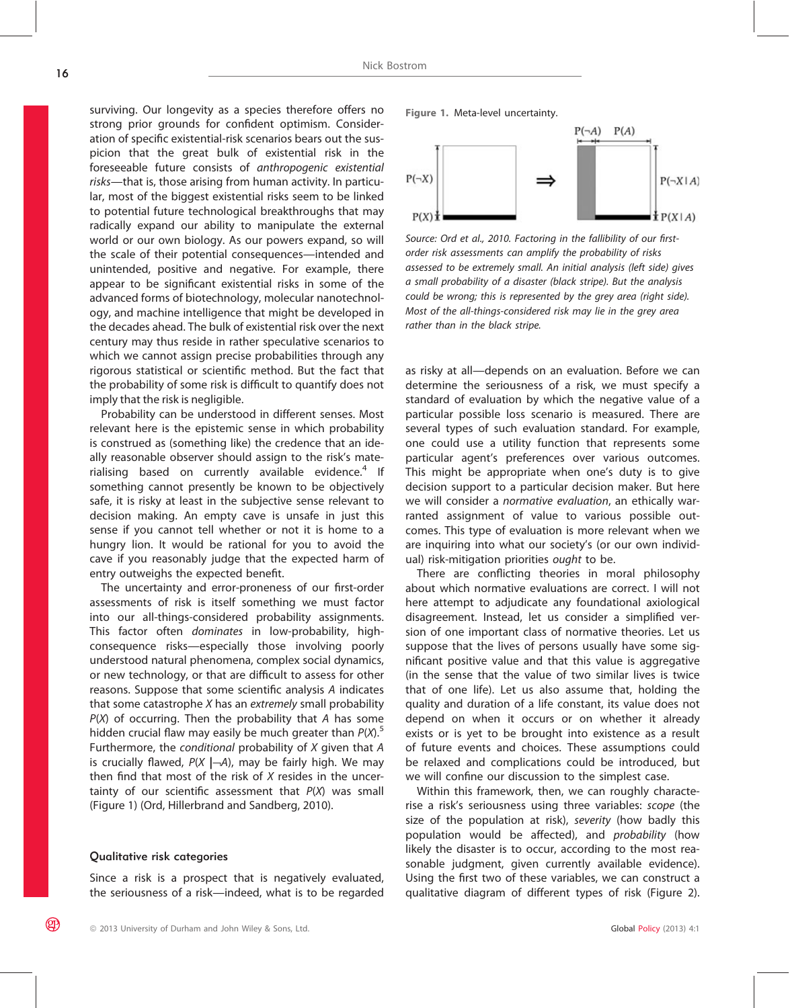surviving. Our longevity as a species therefore offers no strong prior grounds for confident optimism. Consideration of specific existential-risk scenarios bears out the suspicion that the great bulk of existential risk in the foreseeable future consists of anthropogenic existential risks—that is, those arising from human activity. In particular, most of the biggest existential risks seem to be linked to potential future technological breakthroughs that may radically expand our ability to manipulate the external world or our own biology. As our powers expand, so will the scale of their potential consequences—intended and unintended, positive and negative. For example, there appear to be significant existential risks in some of the advanced forms of biotechnology, molecular nanotechnology, and machine intelligence that might be developed in the decades ahead. The bulk of existential risk over the next century may thus reside in rather speculative scenarios to which we cannot assign precise probabilities through any rigorous statistical or scientific method. But the fact that the probability of some risk is difficult to quantify does not imply that the risk is negligible.

Probability can be understood in different senses. Most relevant here is the epistemic sense in which probability is construed as (something like) the credence that an ideally reasonable observer should assign to the risk's materialising based on currently available evidence.<sup>4</sup> If something cannot presently be known to be objectively safe, it is risky at least in the subjective sense relevant to decision making. An empty cave is unsafe in just this sense if you cannot tell whether or not it is home to a hungry lion. It would be rational for you to avoid the cave if you reasonably judge that the expected harm of entry outweighs the expected benefit.

The uncertainty and error-proneness of our first-order assessments of risk is itself something we must factor into our all-things-considered probability assignments. This factor often dominates in low-probability, highconsequence risks—especially those involving poorly understood natural phenomena, complex social dynamics, or new technology, or that are difficult to assess for other reasons. Suppose that some scientific analysis A indicates that some catastrophe  $X$  has an extremely small probability  $P(X)$  of occurring. Then the probability that A has some hidden crucial flaw may easily be much greater than  $P(X)$ .<sup>5</sup> Furthermore, the conditional probability of X given that A is crucially flawed,  $P(X \mid -A)$ , may be fairly high. We may then find that most of the risk of X resides in the uncertainty of our scientific assessment that  $P(X)$  was small (Figure 1) (Ord, Hillerbrand and Sandberg, 2010).

#### Qualitative risk categories

(QP)

Since a risk is a prospect that is negatively evaluated, the seriousness of a risk—indeed, what is to be regarded Figure 1. Meta-level uncertainty.



Source: Ord et al., 2010. Factoring in the fallibility of our firstorder risk assessments can amplify the probability of risks assessed to be extremely small. An initial analysis (left side) gives a small probability of a disaster (black stripe). But the analysis could be wrong; this is represented by the grey area (right side). Most of the all-things-considered risk may lie in the grey area rather than in the black stripe.

as risky at all—depends on an evaluation. Before we can determine the seriousness of a risk, we must specify a standard of evaluation by which the negative value of a particular possible loss scenario is measured. There are several types of such evaluation standard. For example, one could use a utility function that represents some particular agent's preferences over various outcomes. This might be appropriate when one's duty is to give decision support to a particular decision maker. But here we will consider a normative evaluation, an ethically warranted assignment of value to various possible outcomes. This type of evaluation is more relevant when we are inquiring into what our society's (or our own individual) risk-mitigation priorities ought to be.

There are conflicting theories in moral philosophy about which normative evaluations are correct. I will not here attempt to adjudicate any foundational axiological disagreement. Instead, let us consider a simplified version of one important class of normative theories. Let us suppose that the lives of persons usually have some significant positive value and that this value is aggregative (in the sense that the value of two similar lives is twice that of one life). Let us also assume that, holding the quality and duration of a life constant, its value does not depend on when it occurs or on whether it already exists or is yet to be brought into existence as a result of future events and choices. These assumptions could be relaxed and complications could be introduced, but we will confine our discussion to the simplest case.

Within this framework, then, we can roughly characterise a risk's seriousness using three variables: scope (the size of the population at risk), severity (how badly this population would be affected), and probability (how likely the disaster is to occur, according to the most reasonable judgment, given currently available evidence). Using the first two of these variables, we can construct a qualitative diagram of different types of risk (Figure 2).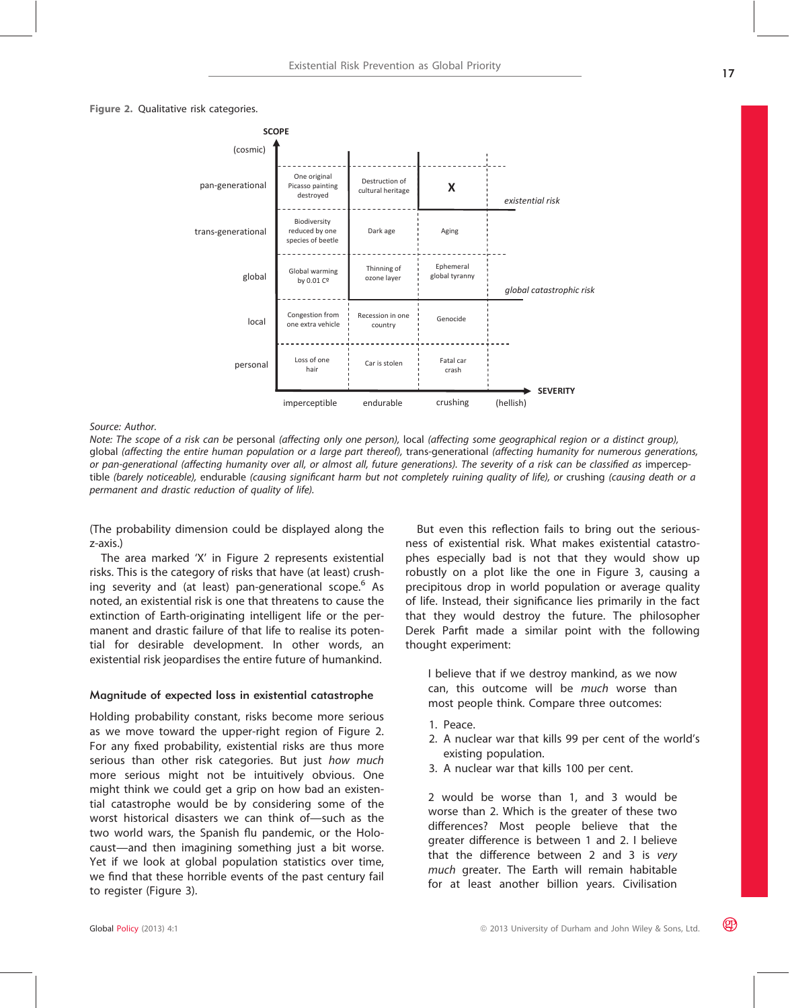#### Figure 2. Qualitative risk categories.



#### Source: Author.

Note: The scope of a risk can be personal (affecting only one person), local (affecting some geographical region or a distinct group), global (affecting the entire human population or a large part thereof), trans-generational (affecting humanity for numerous generations, or pan-generational (affecting humanity over all, or almost all, future generations). The severity of a risk can be classified as imperceptible (barely noticeable), endurable (causing significant harm but not completely ruining quality of life), or crushing (causing death or a permanent and drastic reduction of quality of life).

(The probability dimension could be displayed along the z-axis.)

The area marked 'X' in Figure 2 represents existential risks. This is the category of risks that have (at least) crushing severity and (at least) pan-generational scope.<sup>6</sup> As noted, an existential risk is one that threatens to cause the extinction of Earth-originating intelligent life or the permanent and drastic failure of that life to realise its potential for desirable development. In other words, an existential risk jeopardises the entire future of humankind.

#### Magnitude of expected loss in existential catastrophe

Holding probability constant, risks become more serious as we move toward the upper-right region of Figure 2. For any fixed probability, existential risks are thus more serious than other risk categories. But just how much more serious might not be intuitively obvious. One might think we could get a grip on how bad an existential catastrophe would be by considering some of the worst historical disasters we can think of—such as the two world wars, the Spanish flu pandemic, or the Holocaust—and then imagining something just a bit worse. Yet if we look at global population statistics over time, we find that these horrible events of the past century fail to register (Figure 3).

But even this reflection fails to bring out the seriousness of existential risk. What makes existential catastrophes especially bad is not that they would show up robustly on a plot like the one in Figure 3, causing a precipitous drop in world population or average quality of life. Instead, their significance lies primarily in the fact that they would destroy the future. The philosopher Derek Parfit made a similar point with the following thought experiment:

I believe that if we destroy mankind, as we now can, this outcome will be much worse than most people think. Compare three outcomes:

- 1. Peace.
- 2. A nuclear war that kills 99 per cent of the world's existing population.
- 3. A nuclear war that kills 100 per cent.

2 would be worse than 1, and 3 would be worse than 2. Which is the greater of these two differences? Most people believe that the greater difference is between 1 and 2. I believe that the difference between 2 and 3 is very much greater. The Earth will remain habitable for at least another billion years. Civilisation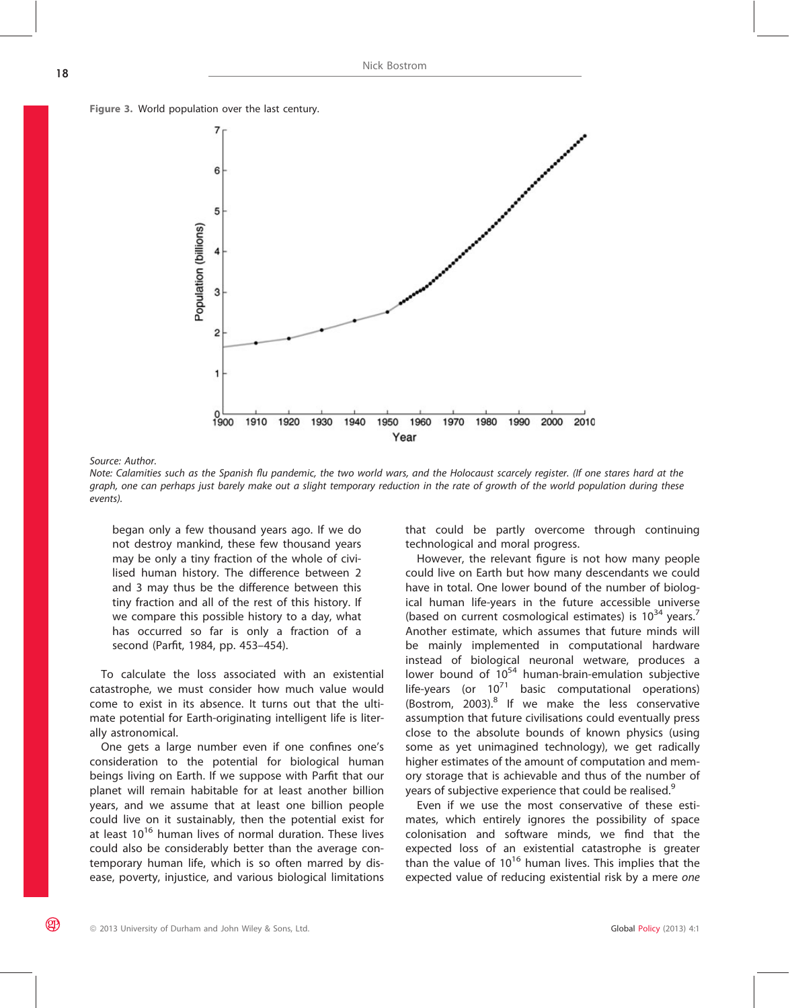



#### Source: Author.

Note: Calamities such as the Spanish flu pandemic, the two world wars, and the Holocaust scarcely register. (If one stares hard at the graph, one can perhaps just barely make out a slight temporary reduction in the rate of growth of the world population during these events).

began only a few thousand years ago. If we do not destroy mankind, these few thousand years may be only a tiny fraction of the whole of civilised human history. The difference between 2 and 3 may thus be the difference between this tiny fraction and all of the rest of this history. If we compare this possible history to a day, what has occurred so far is only a fraction of a second (Parfit, 1984, pp. 453–454).

To calculate the loss associated with an existential catastrophe, we must consider how much value would come to exist in its absence. It turns out that the ultimate potential for Earth-originating intelligent life is literally astronomical.

One gets a large number even if one confines one's consideration to the potential for biological human beings living on Earth. If we suppose with Parfit that our planet will remain habitable for at least another billion years, and we assume that at least one billion people could live on it sustainably, then the potential exist for at least  $10^{16}$  human lives of normal duration. These lives could also be considerably better than the average contemporary human life, which is so often marred by disease, poverty, injustice, and various biological limitations

that could be partly overcome through continuing technological and moral progress.

However, the relevant figure is not how many people could live on Earth but how many descendants we could have in total. One lower bound of the number of biological human life-years in the future accessible universe (based on current cosmological estimates) is  $10^{34}$  years.<sup>7</sup> Another estimate, which assumes that future minds will be mainly implemented in computational hardware instead of biological neuronal wetware, produces a lower bound of 10<sup>54</sup> human-brain-emulation subjective life-years (or  $10^{71}$  basic computational operations) (Bostrom, 2003). $8$  If we make the less conservative assumption that future civilisations could eventually press close to the absolute bounds of known physics (using some as yet unimagined technology), we get radically higher estimates of the amount of computation and memory storage that is achievable and thus of the number of years of subjective experience that could be realised.<sup>9</sup>

Even if we use the most conservative of these estimates, which entirely ignores the possibility of space colonisation and software minds, we find that the expected loss of an existential catastrophe is greater than the value of  $10^{16}$  human lives. This implies that the expected value of reducing existential risk by a mere one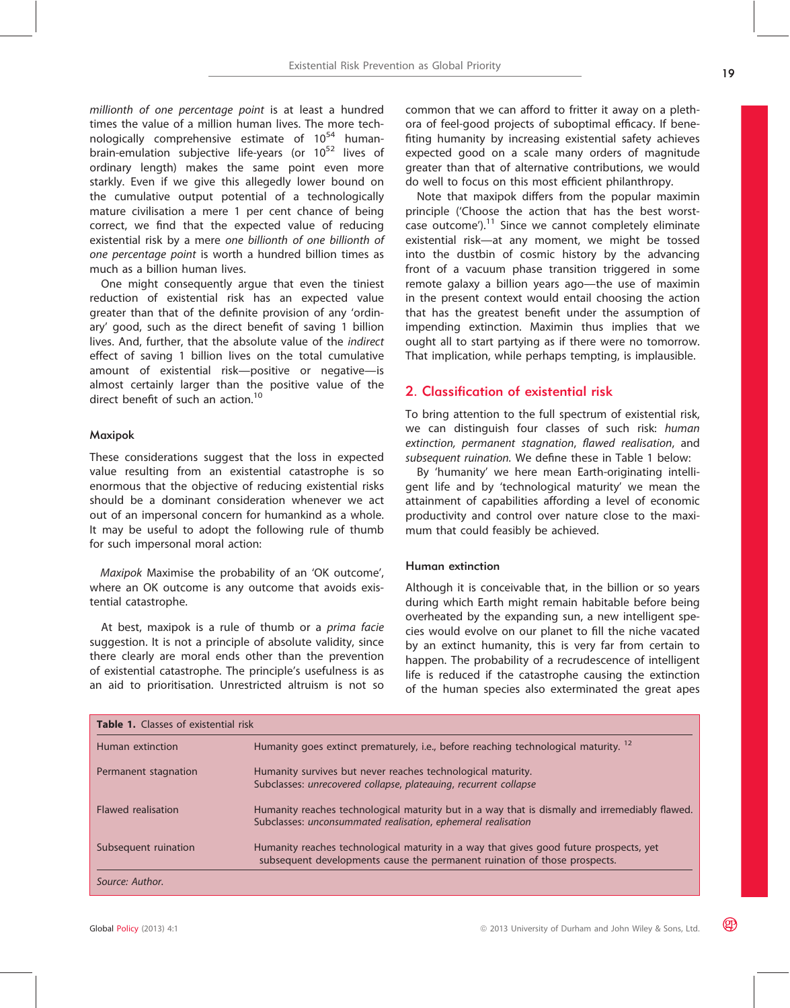millionth of one percentage point is at least a hundred times the value of a million human lives. The more technologically comprehensive estimate of  $10^{54}$  humanbrain-emulation subjective life-years (or  $10^{52}$  lives of ordinary length) makes the same point even more starkly. Even if we give this allegedly lower bound on the cumulative output potential of a technologically mature civilisation a mere 1 per cent chance of being correct, we find that the expected value of reducing existential risk by a mere one billionth of one billionth of one percentage point is worth a hundred billion times as much as a billion human lives.

One might consequently argue that even the tiniest reduction of existential risk has an expected value greater than that of the definite provision of any 'ordinary' good, such as the direct benefit of saving 1 billion lives. And, further, that the absolute value of the indirect effect of saving 1 billion lives on the total cumulative amount of existential risk—positive or negative—is almost certainly larger than the positive value of the direct benefit of such an action.<sup>10</sup>

#### Maxipok

These considerations suggest that the loss in expected value resulting from an existential catastrophe is so enormous that the objective of reducing existential risks should be a dominant consideration whenever we act out of an impersonal concern for humankind as a whole. It may be useful to adopt the following rule of thumb for such impersonal moral action:

Maxipok Maximise the probability of an 'OK outcome', where an OK outcome is any outcome that avoids existential catastrophe.

At best, maxipok is a rule of thumb or a prima facie suggestion. It is not a principle of absolute validity, since there clearly are moral ends other than the prevention of existential catastrophe. The principle's usefulness is as an aid to prioritisation. Unrestricted altruism is not so common that we can afford to fritter it away on a plethora of feel-good projects of suboptimal efficacy. If benefiting humanity by increasing existential safety achieves expected good on a scale many orders of magnitude greater than that of alternative contributions, we would do well to focus on this most efficient philanthropy.

Note that maxipok differs from the popular maximin principle ('Choose the action that has the best worstcase outcome'). $11$  Since we cannot completely eliminate existential risk—at any moment, we might be tossed into the dustbin of cosmic history by the advancing front of a vacuum phase transition triggered in some remote galaxy a billion years ago—the use of maximin in the present context would entail choosing the action that has the greatest benefit under the assumption of impending extinction. Maximin thus implies that we ought all to start partying as if there were no tomorrow. That implication, while perhaps tempting, is implausible.

### 2. Classification of existential risk

To bring attention to the full spectrum of existential risk, we can distinguish four classes of such risk: human extinction, permanent stagnation, flawed realisation, and subsequent ruination. We define these in Table 1 below:

By 'humanity' we here mean Earth-originating intelligent life and by 'technological maturity' we mean the attainment of capabilities affording a level of economic productivity and control over nature close to the maximum that could feasibly be achieved.

#### Human extinction

Although it is conceivable that, in the billion or so years during which Earth might remain habitable before being overheated by the expanding sun, a new intelligent species would evolve on our planet to fill the niche vacated by an extinct humanity, this is very far from certain to happen. The probability of a recrudescence of intelligent life is reduced if the catastrophe causing the extinction of the human species also exterminated the great apes

| Human extinction     | Humanity goes extinct prematurely, i.e., before reaching technological maturity. <sup>12</sup>                                                                      |
|----------------------|---------------------------------------------------------------------------------------------------------------------------------------------------------------------|
| Permanent stagnation | Humanity survives but never reaches technological maturity.<br>Subclasses: unrecovered collapse, plateauing, recurrent collapse                                     |
| Flawed realisation   | Humanity reaches technological maturity but in a way that is dismally and irremediably flawed.<br>Subclasses: unconsummated realisation, ephemeral realisation      |
| Subsequent ruination | Humanity reaches technological maturity in a way that gives good future prospects, yet<br>subsequent developments cause the permanent ruination of those prospects. |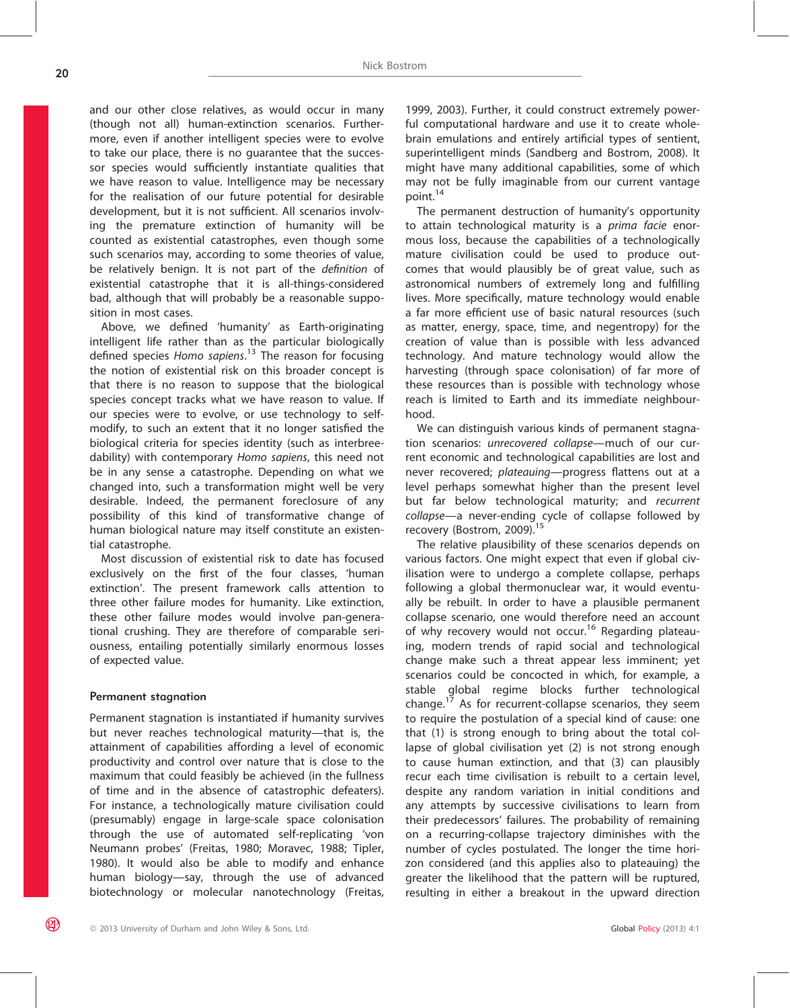and our other close relatives, as would occur in many (though not all) human-extinction scenarios. Furthermore, even if another intelligent species were to evolve to take our place, there is no guarantee that the successor species would sufficiently instantiate qualities that we have reason to value. Intelligence may be necessary for the realisation of our future potential for desirable development, but it is not sufficient. All scenarios involving the premature extinction of humanity will be counted as existential catastrophes, even though some such scenarios may, according to some theories of value, be relatively benign. It is not part of the definition of existential catastrophe that it is all-things-considered bad, although that will probably be a reasonable supposition in most cases.

Above, we defined 'humanity' as Earth-originating intelligent life rather than as the particular biologically defined species Homo sapiens.<sup>13</sup> The reason for focusing the notion of existential risk on this broader concept is that there is no reason to suppose that the biological species concept tracks what we have reason to value. If our species were to evolve, or use technology to selfmodify, to such an extent that it no longer satisfied the biological criteria for species identity (such as interbreedability) with contemporary Homo sapiens, this need not be in any sense a catastrophe. Depending on what we changed into, such a transformation might well be very desirable. Indeed, the permanent foreclosure of any possibility of this kind of transformative change of human biological nature may itself constitute an existential catastrophe.

Most discussion of existential risk to date has focused exclusively on the first of the four classes, 'human extinction'. The present framework calls attention to three other failure modes for humanity. Like extinction, these other failure modes would involve pan-generational crushing. They are therefore of comparable seriousness, entailing potentially similarly enormous losses of expected value.

#### Permanent stagnation

Permanent stagnation is instantiated if humanity survives but never reaches technological maturity—that is, the attainment of capabilities affording a level of economic productivity and control over nature that is close to the maximum that could feasibly be achieved (in the fullness of time and in the absence of catastrophic defeaters). For instance, a technologically mature civilisation could (presumably) engage in large-scale space colonisation through the use of automated self-replicating 'von Neumann probes' (Freitas, 1980; Moravec, 1988; Tipler, 1980). It would also be able to modify and enhance human biology—say, through the use of advanced biotechnology or molecular nanotechnology (Freitas,

1999, 2003). Further, it could construct extremely powerful computational hardware and use it to create wholebrain emulations and entirely artificial types of sentient, superintelligent minds (Sandberg and Bostrom, 2008). It might have many additional capabilities, some of which may not be fully imaginable from our current vantage point.14

The permanent destruction of humanity's opportunity to attain technological maturity is a prima facie enormous loss, because the capabilities of a technologically mature civilisation could be used to produce outcomes that would plausibly be of great value, such as astronomical numbers of extremely long and fulfilling lives. More specifically, mature technology would enable a far more efficient use of basic natural resources (such as matter, energy, space, time, and negentropy) for the creation of value than is possible with less advanced technology. And mature technology would allow the harvesting (through space colonisation) of far more of these resources than is possible with technology whose reach is limited to Earth and its immediate neighbourhood.

We can distinguish various kinds of permanent stagnation scenarios: *unrecovered collapse*—much of our current economic and technological capabilities are lost and never recovered; plateauing-progress flattens out at a level perhaps somewhat higher than the present level but far below technological maturity; and recurrent collapse—a never-ending cycle of collapse followed by recovery (Bostrom, 2009).<sup>15</sup>

The relative plausibility of these scenarios depends on various factors. One might expect that even if global civilisation were to undergo a complete collapse, perhaps following a global thermonuclear war, it would eventually be rebuilt. In order to have a plausible permanent collapse scenario, one would therefore need an account of why recovery would not occur.<sup>16</sup> Regarding plateauing, modern trends of rapid social and technological change make such a threat appear less imminent; yet scenarios could be concocted in which, for example, a stable global regime blocks further technological change.<sup>17</sup> As for recurrent-collapse scenarios, they seem to require the postulation of a special kind of cause: one that (1) is strong enough to bring about the total collapse of global civilisation yet (2) is not strong enough to cause human extinction, and that (3) can plausibly recur each time civilisation is rebuilt to a certain level, despite any random variation in initial conditions and any attempts by successive civilisations to learn from their predecessors' failures. The probability of remaining on a recurring-collapse trajectory diminishes with the number of cycles postulated. The longer the time horizon considered (and this applies also to plateauing) the greater the likelihood that the pattern will be ruptured, resulting in either a breakout in the upward direction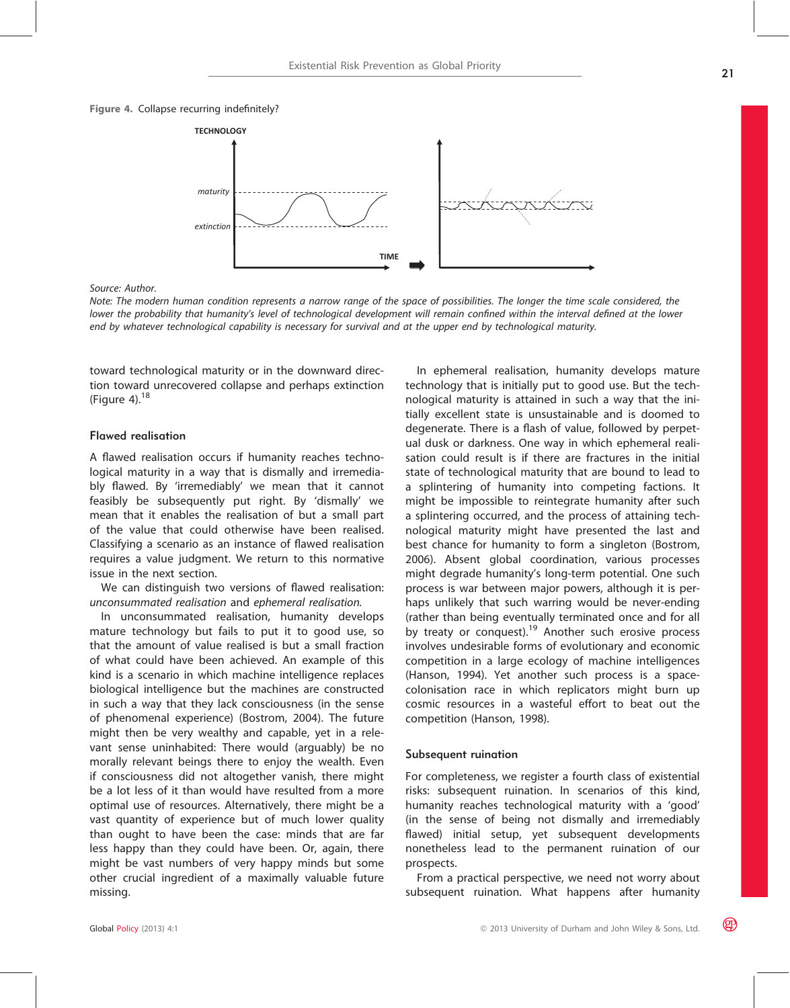#### Figure 4. Collapse recurring indefinitely?



#### Source: Author.

Note: The modern human condition represents a narrow range of the space of possibilities. The longer the time scale considered, the lower the probability that humanity's level of technological development will remain confined within the interval defined at the lower end by whatever technological capability is necessary for survival and at the upper end by technological maturity.

toward technological maturity or in the downward direction toward unrecovered collapse and perhaps extinction (Figure 4). $18$ 

#### Flawed realisation

A flawed realisation occurs if humanity reaches technological maturity in a way that is dismally and irremediably flawed. By 'irremediably' we mean that it cannot feasibly be subsequently put right. By 'dismally' we mean that it enables the realisation of but a small part of the value that could otherwise have been realised. Classifying a scenario as an instance of flawed realisation requires a value judgment. We return to this normative issue in the next section.

We can distinguish two versions of flawed realisation: unconsummated realisation and ephemeral realisation.

In unconsummated realisation, humanity develops mature technology but fails to put it to good use, so that the amount of value realised is but a small fraction of what could have been achieved. An example of this kind is a scenario in which machine intelligence replaces biological intelligence but the machines are constructed in such a way that they lack consciousness (in the sense of phenomenal experience) (Bostrom, 2004). The future might then be very wealthy and capable, yet in a relevant sense uninhabited: There would (arguably) be no morally relevant beings there to enjoy the wealth. Even if consciousness did not altogether vanish, there might be a lot less of it than would have resulted from a more optimal use of resources. Alternatively, there might be a vast quantity of experience but of much lower quality than ought to have been the case: minds that are far less happy than they could have been. Or, again, there might be vast numbers of very happy minds but some other crucial ingredient of a maximally valuable future missing.

In ephemeral realisation, humanity develops mature technology that is initially put to good use. But the technological maturity is attained in such a way that the initially excellent state is unsustainable and is doomed to degenerate. There is a flash of value, followed by perpetual dusk or darkness. One way in which ephemeral realisation could result is if there are fractures in the initial state of technological maturity that are bound to lead to a splintering of humanity into competing factions. It might be impossible to reintegrate humanity after such a splintering occurred, and the process of attaining technological maturity might have presented the last and best chance for humanity to form a singleton (Bostrom, 2006). Absent global coordination, various processes might degrade humanity's long-term potential. One such process is war between major powers, although it is perhaps unlikely that such warring would be never-ending (rather than being eventually terminated once and for all by treaty or conquest).<sup>19</sup> Another such erosive process involves undesirable forms of evolutionary and economic competition in a large ecology of machine intelligences (Hanson, 1994). Yet another such process is a spacecolonisation race in which replicators might burn up cosmic resources in a wasteful effort to beat out the competition (Hanson, 1998).

#### Subsequent ruination

For completeness, we register a fourth class of existential risks: subsequent ruination. In scenarios of this kind, humanity reaches technological maturity with a 'good' (in the sense of being not dismally and irremediably flawed) initial setup, yet subsequent developments nonetheless lead to the permanent ruination of our prospects.

From a practical perspective, we need not worry about subsequent ruination. What happens after humanity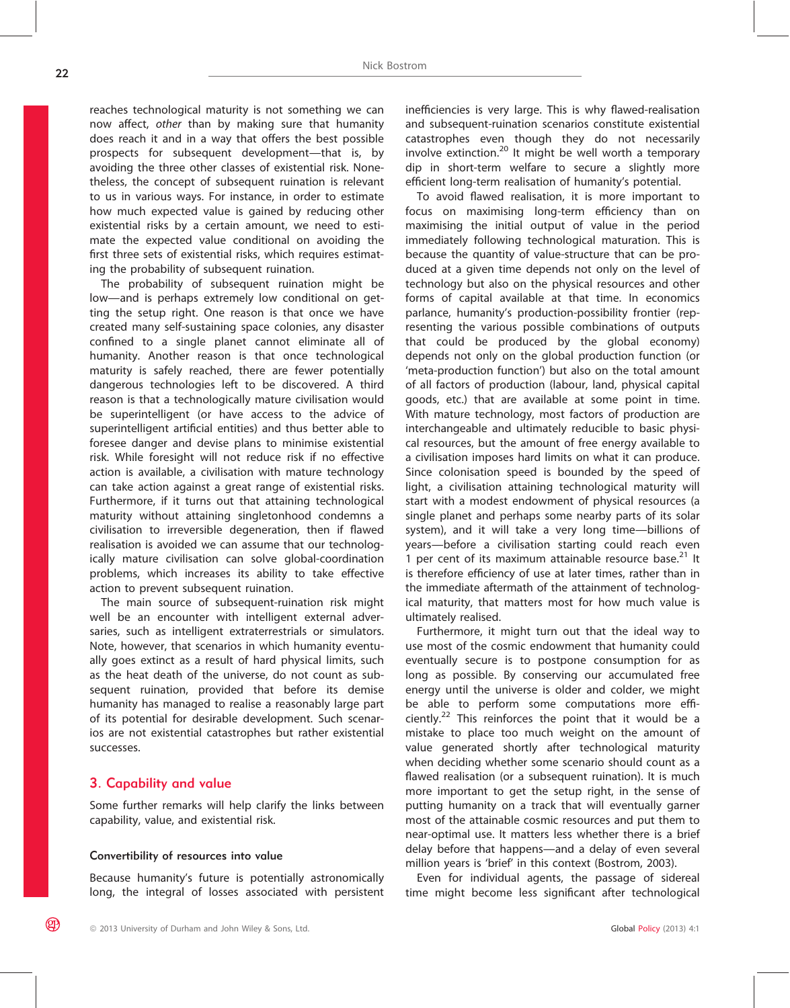reaches technological maturity is not something we can now affect, other than by making sure that humanity does reach it and in a way that offers the best possible prospects for subsequent development—that is, by avoiding the three other classes of existential risk. Nonetheless, the concept of subsequent ruination is relevant to us in various ways. For instance, in order to estimate how much expected value is gained by reducing other existential risks by a certain amount, we need to estimate the expected value conditional on avoiding the first three sets of existential risks, which requires estimating the probability of subsequent ruination.

The probability of subsequent ruination might be low—and is perhaps extremely low conditional on getting the setup right. One reason is that once we have created many self-sustaining space colonies, any disaster confined to a single planet cannot eliminate all of humanity. Another reason is that once technological maturity is safely reached, there are fewer potentially dangerous technologies left to be discovered. A third reason is that a technologically mature civilisation would be superintelligent (or have access to the advice of superintelligent artificial entities) and thus better able to foresee danger and devise plans to minimise existential risk. While foresight will not reduce risk if no effective action is available, a civilisation with mature technology can take action against a great range of existential risks. Furthermore, if it turns out that attaining technological maturity without attaining singletonhood condemns a civilisation to irreversible degeneration, then if flawed realisation is avoided we can assume that our technologically mature civilisation can solve global-coordination problems, which increases its ability to take effective action to prevent subsequent ruination.

The main source of subsequent-ruination risk might well be an encounter with intelligent external adversaries, such as intelligent extraterrestrials or simulators. Note, however, that scenarios in which humanity eventually goes extinct as a result of hard physical limits, such as the heat death of the universe, do not count as subsequent ruination, provided that before its demise humanity has managed to realise a reasonably large part of its potential for desirable development. Such scenarios are not existential catastrophes but rather existential successes.

#### 3. Capability and value

Some further remarks will help clarify the links between capability, value, and existential risk.

#### Convertibility of resources into value

Because humanity's future is potentially astronomically long, the integral of losses associated with persistent inefficiencies is very large. This is why flawed-realisation and subsequent-ruination scenarios constitute existential catastrophes even though they do not necessarily involve extinction.<sup>20</sup> It might be well worth a temporary dip in short-term welfare to secure a slightly more efficient long-term realisation of humanity's potential.

To avoid flawed realisation, it is more important to focus on maximising long-term efficiency than on maximising the initial output of value in the period immediately following technological maturation. This is because the quantity of value-structure that can be produced at a given time depends not only on the level of technology but also on the physical resources and other forms of capital available at that time. In economics parlance, humanity's production-possibility frontier (representing the various possible combinations of outputs that could be produced by the global economy) depends not only on the global production function (or 'meta-production function') but also on the total amount of all factors of production (labour, land, physical capital goods, etc.) that are available at some point in time. With mature technology, most factors of production are interchangeable and ultimately reducible to basic physical resources, but the amount of free energy available to a civilisation imposes hard limits on what it can produce. Since colonisation speed is bounded by the speed of light, a civilisation attaining technological maturity will start with a modest endowment of physical resources (a single planet and perhaps some nearby parts of its solar system), and it will take a very long time—billions of years—before a civilisation starting could reach even 1 per cent of its maximum attainable resource base. $21$  It is therefore efficiency of use at later times, rather than in the immediate aftermath of the attainment of technological maturity, that matters most for how much value is ultimately realised.

Furthermore, it might turn out that the ideal way to use most of the cosmic endowment that humanity could eventually secure is to postpone consumption for as long as possible. By conserving our accumulated free energy until the universe is older and colder, we might be able to perform some computations more efficiently.<sup>22</sup> This reinforces the point that it would be a mistake to place too much weight on the amount of value generated shortly after technological maturity when deciding whether some scenario should count as a flawed realisation (or a subsequent ruination). It is much more important to get the setup right, in the sense of putting humanity on a track that will eventually garner most of the attainable cosmic resources and put them to near-optimal use. It matters less whether there is a brief delay before that happens—and a delay of even several million years is 'brief' in this context (Bostrom, 2003).

Even for individual agents, the passage of sidereal time might become less significant after technological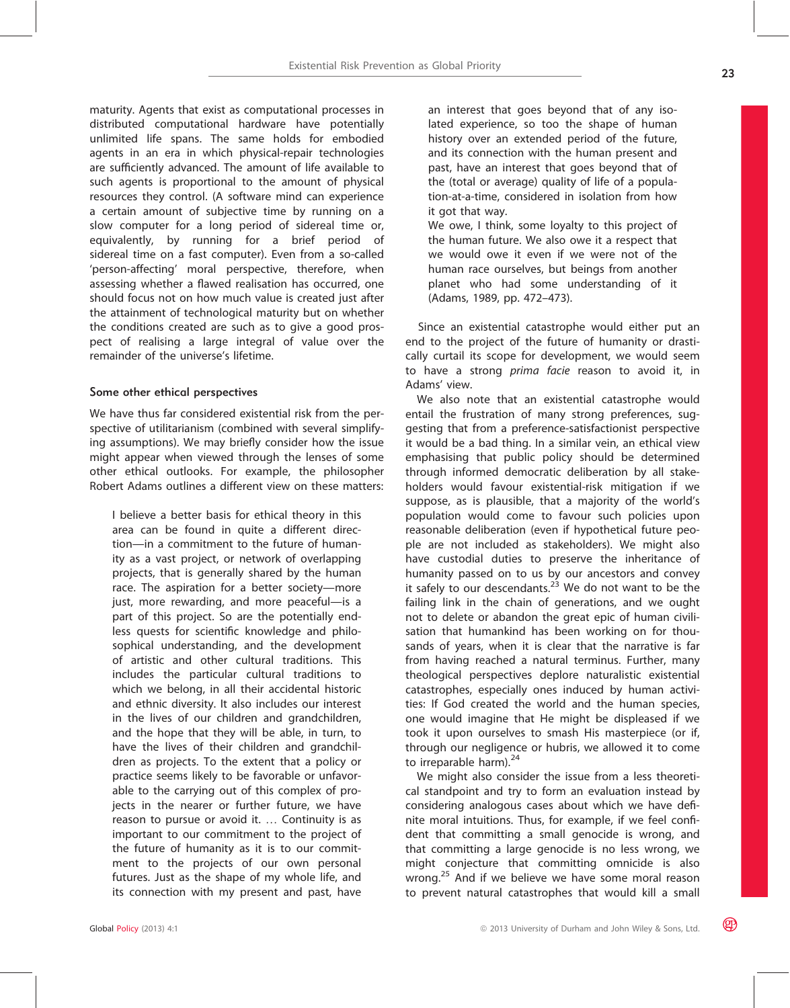maturity. Agents that exist as computational processes in distributed computational hardware have potentially unlimited life spans. The same holds for embodied agents in an era in which physical-repair technologies are sufficiently advanced. The amount of life available to such agents is proportional to the amount of physical resources they control. (A software mind can experience a certain amount of subjective time by running on a slow computer for a long period of sidereal time or, equivalently, by running for a brief period of sidereal time on a fast computer). Even from a so-called 'person-affecting' moral perspective, therefore, when assessing whether a flawed realisation has occurred, one should focus not on how much value is created just after the attainment of technological maturity but on whether the conditions created are such as to give a good prospect of realising a large integral of value over the remainder of the universe's lifetime.

#### Some other ethical perspectives

We have thus far considered existential risk from the perspective of utilitarianism (combined with several simplifying assumptions). We may briefly consider how the issue might appear when viewed through the lenses of some other ethical outlooks. For example, the philosopher Robert Adams outlines a different view on these matters:

I believe a better basis for ethical theory in this area can be found in quite a different direction—in a commitment to the future of humanity as a vast project, or network of overlapping projects, that is generally shared by the human race. The aspiration for a better society—more just, more rewarding, and more peaceful—is a part of this project. So are the potentially endless quests for scientific knowledge and philosophical understanding, and the development of artistic and other cultural traditions. This includes the particular cultural traditions to which we belong, in all their accidental historic and ethnic diversity. It also includes our interest in the lives of our children and grandchildren, and the hope that they will be able, in turn, to have the lives of their children and grandchildren as projects. To the extent that a policy or practice seems likely to be favorable or unfavorable to the carrying out of this complex of projects in the nearer or further future, we have reason to pursue or avoid it. … Continuity is as important to our commitment to the project of the future of humanity as it is to our commitment to the projects of our own personal futures. Just as the shape of my whole life, and its connection with my present and past, have

an interest that goes beyond that of any isolated experience, so too the shape of human history over an extended period of the future, and its connection with the human present and past, have an interest that goes beyond that of the (total or average) quality of life of a population-at-a-time, considered in isolation from how it got that way.

We owe, I think, some loyalty to this project of the human future. We also owe it a respect that we would owe it even if we were not of the human race ourselves, but beings from another planet who had some understanding of it (Adams, 1989, pp. 472–473).

Since an existential catastrophe would either put an end to the project of the future of humanity or drastically curtail its scope for development, we would seem to have a strong prima facie reason to avoid it, in Adams' view.

We also note that an existential catastrophe would entail the frustration of many strong preferences, suggesting that from a preference-satisfactionist perspective it would be a bad thing. In a similar vein, an ethical view emphasising that public policy should be determined through informed democratic deliberation by all stakeholders would favour existential-risk mitigation if we suppose, as is plausible, that a majority of the world's population would come to favour such policies upon reasonable deliberation (even if hypothetical future people are not included as stakeholders). We might also have custodial duties to preserve the inheritance of humanity passed on to us by our ancestors and convey it safely to our descendants.<sup>23</sup> We do not want to be the failing link in the chain of generations, and we ought not to delete or abandon the great epic of human civilisation that humankind has been working on for thousands of years, when it is clear that the narrative is far from having reached a natural terminus. Further, many theological perspectives deplore naturalistic existential catastrophes, especially ones induced by human activities: If God created the world and the human species, one would imagine that He might be displeased if we took it upon ourselves to smash His masterpiece (or if, through our negligence or hubris, we allowed it to come to irreparable harm). $24$ 

We might also consider the issue from a less theoretical standpoint and try to form an evaluation instead by considering analogous cases about which we have definite moral intuitions. Thus, for example, if we feel confident that committing a small genocide is wrong, and that committing a large genocide is no less wrong, we might conjecture that committing omnicide is also wrong.<sup>25</sup> And if we believe we have some moral reason to prevent natural catastrophes that would kill a small

മ്മ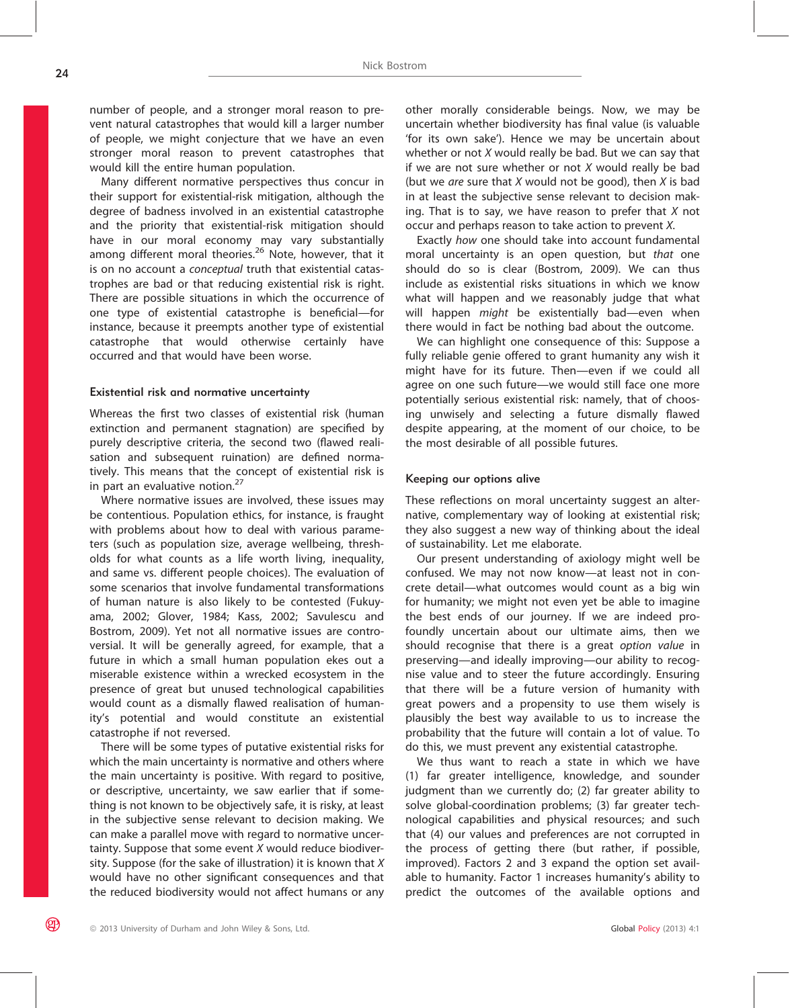number of people, and a stronger moral reason to prevent natural catastrophes that would kill a larger number of people, we might conjecture that we have an even stronger moral reason to prevent catastrophes that would kill the entire human population.

Many different normative perspectives thus concur in their support for existential-risk mitigation, although the degree of badness involved in an existential catastrophe and the priority that existential-risk mitigation should have in our moral economy may vary substantially among different moral theories.<sup>26</sup> Note, however, that it is on no account a conceptual truth that existential catastrophes are bad or that reducing existential risk is right. There are possible situations in which the occurrence of one type of existential catastrophe is beneficial—for instance, because it preempts another type of existential catastrophe that would otherwise certainly have occurred and that would have been worse.

#### Existential risk and normative uncertainty

Whereas the first two classes of existential risk (human extinction and permanent stagnation) are specified by purely descriptive criteria, the second two (flawed realisation and subsequent ruination) are defined normatively. This means that the concept of existential risk is in part an evaluative notion.<sup>27</sup>

Where normative issues are involved, these issues may be contentious. Population ethics, for instance, is fraught with problems about how to deal with various parameters (such as population size, average wellbeing, thresholds for what counts as a life worth living, inequality, and same vs. different people choices). The evaluation of some scenarios that involve fundamental transformations of human nature is also likely to be contested (Fukuyama, 2002; Glover, 1984; Kass, 2002; Savulescu and Bostrom, 2009). Yet not all normative issues are controversial. It will be generally agreed, for example, that a future in which a small human population ekes out a miserable existence within a wrecked ecosystem in the presence of great but unused technological capabilities would count as a dismally flawed realisation of humanity's potential and would constitute an existential catastrophe if not reversed.

There will be some types of putative existential risks for which the main uncertainty is normative and others where the main uncertainty is positive. With regard to positive, or descriptive, uncertainty, we saw earlier that if something is not known to be objectively safe, it is risky, at least in the subjective sense relevant to decision making. We can make a parallel move with regard to normative uncertainty. Suppose that some event X would reduce biodiversity. Suppose (for the sake of illustration) it is known that  $X$ would have no other significant consequences and that the reduced biodiversity would not affect humans or any

other morally considerable beings. Now, we may be uncertain whether biodiversity has final value (is valuable 'for its own sake'). Hence we may be uncertain about whether or not  $X$  would really be bad. But we can say that if we are not sure whether or not  $X$  would really be bad (but we are sure that  $X$  would not be good), then  $X$  is bad in at least the subjective sense relevant to decision making. That is to say, we have reason to prefer that  $X$  not occur and perhaps reason to take action to prevent X.

Exactly how one should take into account fundamental moral uncertainty is an open question, but that one should do so is clear (Bostrom, 2009). We can thus include as existential risks situations in which we know what will happen and we reasonably judge that what will happen might be existentially bad-even when there would in fact be nothing bad about the outcome.

We can highlight one consequence of this: Suppose a fully reliable genie offered to grant humanity any wish it might have for its future. Then—even if we could all agree on one such future—we would still face one more potentially serious existential risk: namely, that of choosing unwisely and selecting a future dismally flawed despite appearing, at the moment of our choice, to be the most desirable of all possible futures.

#### Keeping our options alive

These reflections on moral uncertainty suggest an alternative, complementary way of looking at existential risk; they also suggest a new way of thinking about the ideal of sustainability. Let me elaborate.

Our present understanding of axiology might well be confused. We may not now know—at least not in concrete detail—what outcomes would count as a big win for humanity; we might not even yet be able to imagine the best ends of our journey. If we are indeed profoundly uncertain about our ultimate aims, then we should recognise that there is a great option value in preserving—and ideally improving—our ability to recognise value and to steer the future accordingly. Ensuring that there will be a future version of humanity with great powers and a propensity to use them wisely is plausibly the best way available to us to increase the probability that the future will contain a lot of value. To do this, we must prevent any existential catastrophe.

We thus want to reach a state in which we have (1) far greater intelligence, knowledge, and sounder judgment than we currently do; (2) far greater ability to solve global-coordination problems; (3) far greater technological capabilities and physical resources; and such that (4) our values and preferences are not corrupted in the process of getting there (but rather, if possible, improved). Factors 2 and 3 expand the option set available to humanity. Factor 1 increases humanity's ability to predict the outcomes of the available options and

௵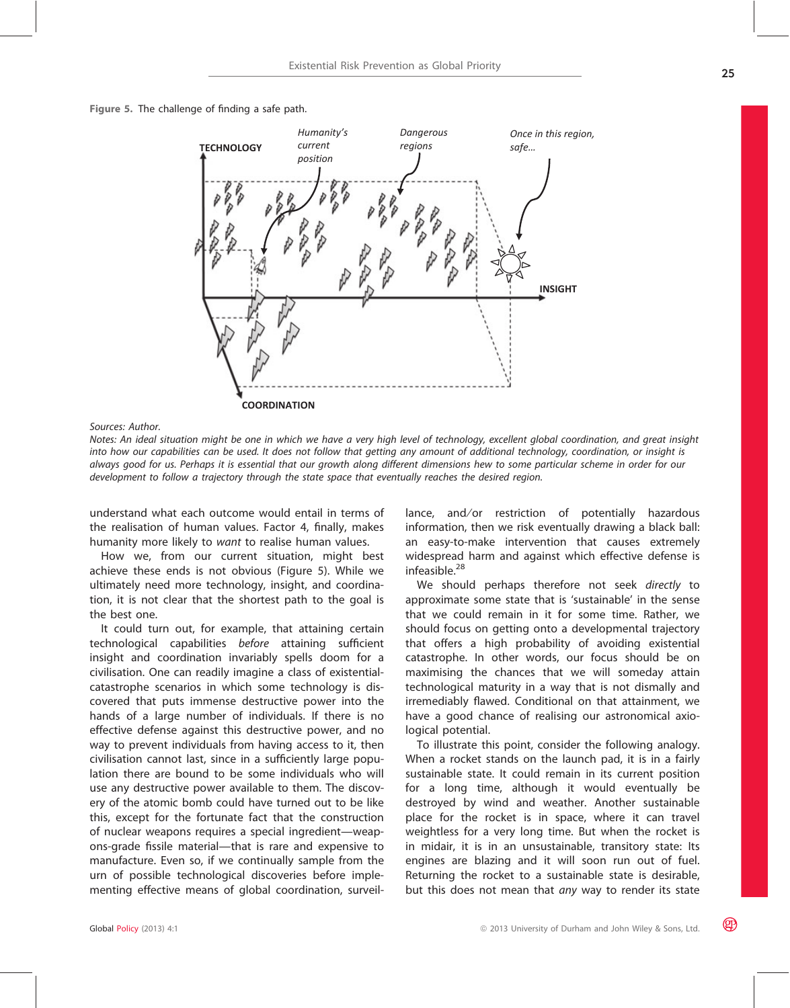Figure 5. The challenge of finding a safe path.



#### Sources: Author.

Notes: An ideal situation might be one in which we have a very high level of technology, excellent global coordination, and great insight into how our capabilities can be used. It does not follow that getting any amount of additional technology, coordination, or insight is always good for us. Perhaps it is essential that our growth along different dimensions hew to some particular scheme in order for our development to follow a trajectory through the state space that eventually reaches the desired region.

understand what each outcome would entail in terms of the realisation of human values. Factor 4, finally, makes humanity more likely to want to realise human values.

How we, from our current situation, might best achieve these ends is not obvious (Figure 5). While we ultimately need more technology, insight, and coordination, it is not clear that the shortest path to the goal is the best one.

It could turn out, for example, that attaining certain technological capabilities before attaining sufficient insight and coordination invariably spells doom for a civilisation. One can readily imagine a class of existentialcatastrophe scenarios in which some technology is discovered that puts immense destructive power into the hands of a large number of individuals. If there is no effective defense against this destructive power, and no way to prevent individuals from having access to it, then civilisation cannot last, since in a sufficiently large population there are bound to be some individuals who will use any destructive power available to them. The discovery of the atomic bomb could have turned out to be like this, except for the fortunate fact that the construction of nuclear weapons requires a special ingredient—weapons-grade fissile material—that is rare and expensive to manufacture. Even so, if we continually sample from the urn of possible technological discoveries before implementing effective means of global coordination, surveillance, and/or restriction of potentially hazardous information, then we risk eventually drawing a black ball: an easy-to-make intervention that causes extremely widespread harm and against which effective defense is infeasible.<sup>28</sup>

We should perhaps therefore not seek directly to approximate some state that is 'sustainable' in the sense that we could remain in it for some time. Rather, we should focus on getting onto a developmental trajectory that offers a high probability of avoiding existential catastrophe. In other words, our focus should be on maximising the chances that we will someday attain technological maturity in a way that is not dismally and irremediably flawed. Conditional on that attainment, we have a good chance of realising our astronomical axiological potential.

To illustrate this point, consider the following analogy. When a rocket stands on the launch pad, it is in a fairly sustainable state. It could remain in its current position for a long time, although it would eventually be destroyed by wind and weather. Another sustainable place for the rocket is in space, where it can travel weightless for a very long time. But when the rocket is in midair, it is in an unsustainable, transitory state: Its engines are blazing and it will soon run out of fuel. Returning the rocket to a sustainable state is desirable, but this does not mean that any way to render its state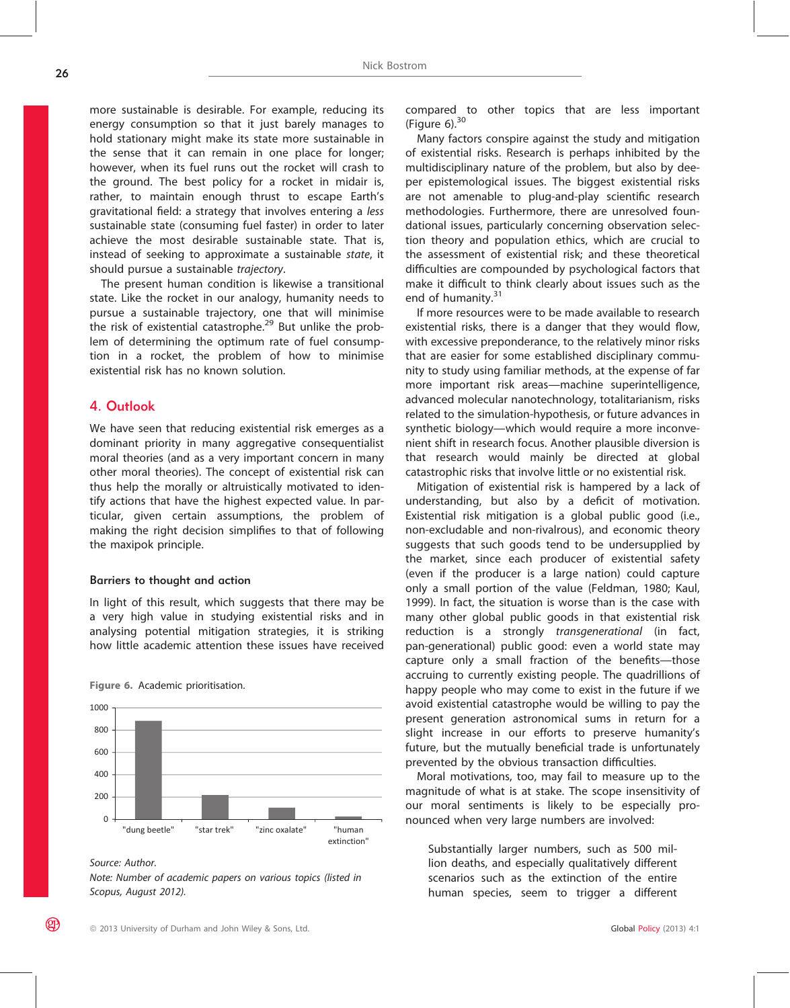more sustainable is desirable. For example, reducing its energy consumption so that it just barely manages to hold stationary might make its state more sustainable in the sense that it can remain in one place for longer; however, when its fuel runs out the rocket will crash to the ground. The best policy for a rocket in midair is, rather, to maintain enough thrust to escape Earth's gravitational field: a strategy that involves entering a less sustainable state (consuming fuel faster) in order to later achieve the most desirable sustainable state. That is, instead of seeking to approximate a sustainable state, it should pursue a sustainable trajectory.

The present human condition is likewise a transitional state. Like the rocket in our analogy, humanity needs to pursue a sustainable trajectory, one that will minimise the risk of existential catastrophe.<sup>29</sup> But unlike the problem of determining the optimum rate of fuel consumption in a rocket, the problem of how to minimise existential risk has no known solution.

#### 4. Outlook

We have seen that reducing existential risk emerges as a dominant priority in many aggregative consequentialist moral theories (and as a very important concern in many other moral theories). The concept of existential risk can thus help the morally or altruistically motivated to identify actions that have the highest expected value. In particular, given certain assumptions, the problem of making the right decision simplifies to that of following the maxipok principle.

#### Barriers to thought and action

In light of this result, which suggests that there may be a very high value in studying existential risks and in analysing potential mitigation strategies, it is striking how little academic attention these issues have received



Figure 6. Academic prioritisation.

Source: Author.

(OP)

Note: Number of academic papers on various topics (listed in Scopus, August 2012).

compared to other topics that are less important (Figure  $6$ ). $30$ 

Many factors conspire against the study and mitigation of existential risks. Research is perhaps inhibited by the multidisciplinary nature of the problem, but also by deeper epistemological issues. The biggest existential risks are not amenable to plug-and-play scientific research methodologies. Furthermore, there are unresolved foundational issues, particularly concerning observation selection theory and population ethics, which are crucial to the assessment of existential risk; and these theoretical difficulties are compounded by psychological factors that make it difficult to think clearly about issues such as the end of humanity.<sup>31</sup>

If more resources were to be made available to research existential risks, there is a danger that they would flow, with excessive preponderance, to the relatively minor risks that are easier for some established disciplinary community to study using familiar methods, at the expense of far more important risk areas—machine superintelligence, advanced molecular nanotechnology, totalitarianism, risks related to the simulation-hypothesis, or future advances in synthetic biology—which would require a more inconvenient shift in research focus. Another plausible diversion is that research would mainly be directed at global catastrophic risks that involve little or no existential risk.

Mitigation of existential risk is hampered by a lack of understanding, but also by a deficit of motivation. Existential risk mitigation is a global public good (i.e., non-excludable and non-rivalrous), and economic theory suggests that such goods tend to be undersupplied by the market, since each producer of existential safety (even if the producer is a large nation) could capture only a small portion of the value (Feldman, 1980; Kaul, 1999). In fact, the situation is worse than is the case with many other global public goods in that existential risk reduction is a strongly transgenerational (in fact, pan-generational) public good: even a world state may capture only a small fraction of the benefits—those accruing to currently existing people. The quadrillions of happy people who may come to exist in the future if we avoid existential catastrophe would be willing to pay the present generation astronomical sums in return for a slight increase in our efforts to preserve humanity's future, but the mutually beneficial trade is unfortunately prevented by the obvious transaction difficulties.

Moral motivations, too, may fail to measure up to the magnitude of what is at stake. The scope insensitivity of our moral sentiments is likely to be especially pronounced when very large numbers are involved:

Substantially larger numbers, such as 500 million deaths, and especially qualitatively different scenarios such as the extinction of the entire human species, seem to trigger a different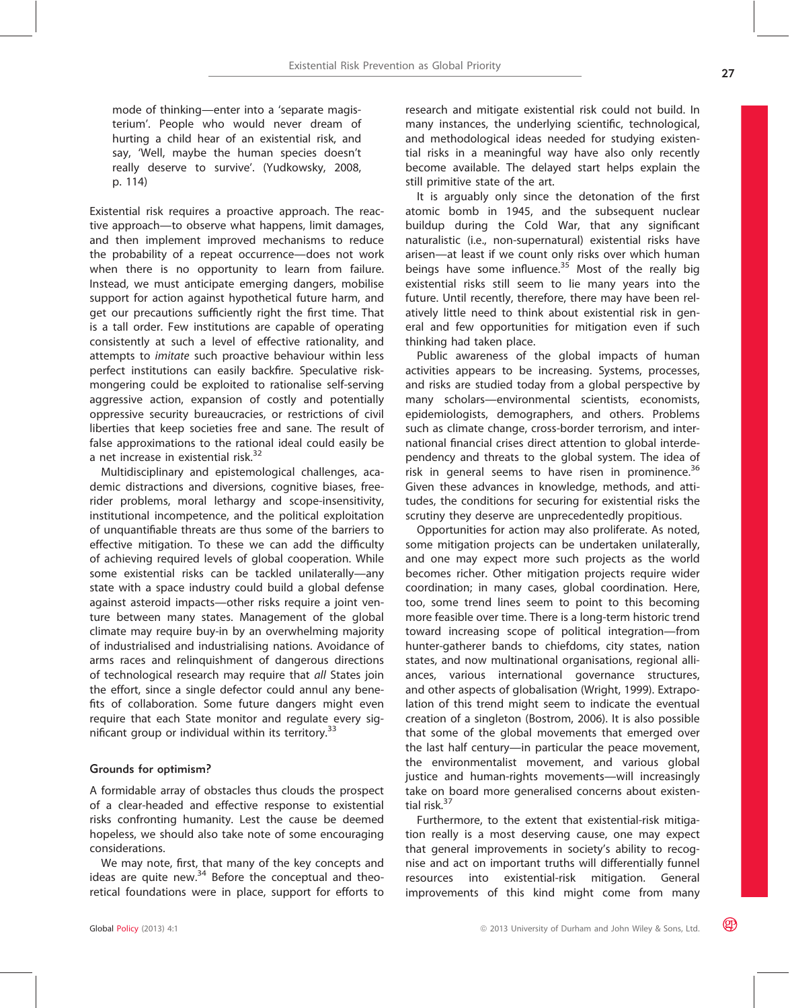mode of thinking—enter into a 'separate magisterium'. People who would never dream of hurting a child hear of an existential risk, and say, 'Well, maybe the human species doesn't really deserve to survive'. (Yudkowsky, 2008, p. 114)

Existential risk requires a proactive approach. The reactive approach—to observe what happens, limit damages, and then implement improved mechanisms to reduce the probability of a repeat occurrence—does not work when there is no opportunity to learn from failure. Instead, we must anticipate emerging dangers, mobilise support for action against hypothetical future harm, and get our precautions sufficiently right the first time. That is a tall order. Few institutions are capable of operating consistently at such a level of effective rationality, and attempts to imitate such proactive behaviour within less perfect institutions can easily backfire. Speculative riskmongering could be exploited to rationalise self-serving aggressive action, expansion of costly and potentially oppressive security bureaucracies, or restrictions of civil liberties that keep societies free and sane. The result of false approximations to the rational ideal could easily be a net increase in existential risk.<sup>32</sup>

Multidisciplinary and epistemological challenges, academic distractions and diversions, cognitive biases, freerider problems, moral lethargy and scope-insensitivity, institutional incompetence, and the political exploitation of unquantifiable threats are thus some of the barriers to effective mitigation. To these we can add the difficulty of achieving required levels of global cooperation. While some existential risks can be tackled unilaterally—any state with a space industry could build a global defense against asteroid impacts—other risks require a joint venture between many states. Management of the global climate may require buy-in by an overwhelming majority of industrialised and industrialising nations. Avoidance of arms races and relinquishment of dangerous directions of technological research may require that all States join the effort, since a single defector could annul any benefits of collaboration. Some future dangers might even require that each State monitor and regulate every significant group or individual within its territory.<sup>33</sup>

#### Grounds for optimism?

A formidable array of obstacles thus clouds the prospect of a clear-headed and effective response to existential risks confronting humanity. Lest the cause be deemed hopeless, we should also take note of some encouraging considerations.

We may note, first, that many of the key concepts and ideas are quite new. $34$  Before the conceptual and theoretical foundations were in place, support for efforts to

research and mitigate existential risk could not build. In many instances, the underlying scientific, technological, and methodological ideas needed for studying existential risks in a meaningful way have also only recently become available. The delayed start helps explain the still primitive state of the art.

It is arguably only since the detonation of the first atomic bomb in 1945, and the subsequent nuclear buildup during the Cold War, that any significant naturalistic (i.e., non-supernatural) existential risks have arisen—at least if we count only risks over which human beings have some influence.<sup>35</sup> Most of the really big existential risks still seem to lie many years into the future. Until recently, therefore, there may have been relatively little need to think about existential risk in general and few opportunities for mitigation even if such thinking had taken place.

Public awareness of the global impacts of human activities appears to be increasing. Systems, processes, and risks are studied today from a global perspective by many scholars—environmental scientists, economists, epidemiologists, demographers, and others. Problems such as climate change, cross-border terrorism, and international financial crises direct attention to global interdependency and threats to the global system. The idea of risk in general seems to have risen in prominence.<sup>36</sup> Given these advances in knowledge, methods, and attitudes, the conditions for securing for existential risks the scrutiny they deserve are unprecedentedly propitious.

Opportunities for action may also proliferate. As noted, some mitigation projects can be undertaken unilaterally, and one may expect more such projects as the world becomes richer. Other mitigation projects require wider coordination; in many cases, global coordination. Here, too, some trend lines seem to point to this becoming more feasible over time. There is a long-term historic trend toward increasing scope of political integration—from hunter-gatherer bands to chiefdoms, city states, nation states, and now multinational organisations, regional alliances, various international governance structures, and other aspects of globalisation (Wright, 1999). Extrapolation of this trend might seem to indicate the eventual creation of a singleton (Bostrom, 2006). It is also possible that some of the global movements that emerged over the last half century—in particular the peace movement, the environmentalist movement, and various global justice and human-rights movements—will increasingly take on board more generalised concerns about existential risk.<sup>37</sup>

Furthermore, to the extent that existential-risk mitigation really is a most deserving cause, one may expect that general improvements in society's ability to recognise and act on important truths will differentially funnel resources into existential-risk mitigation. General improvements of this kind might come from many

മ്ര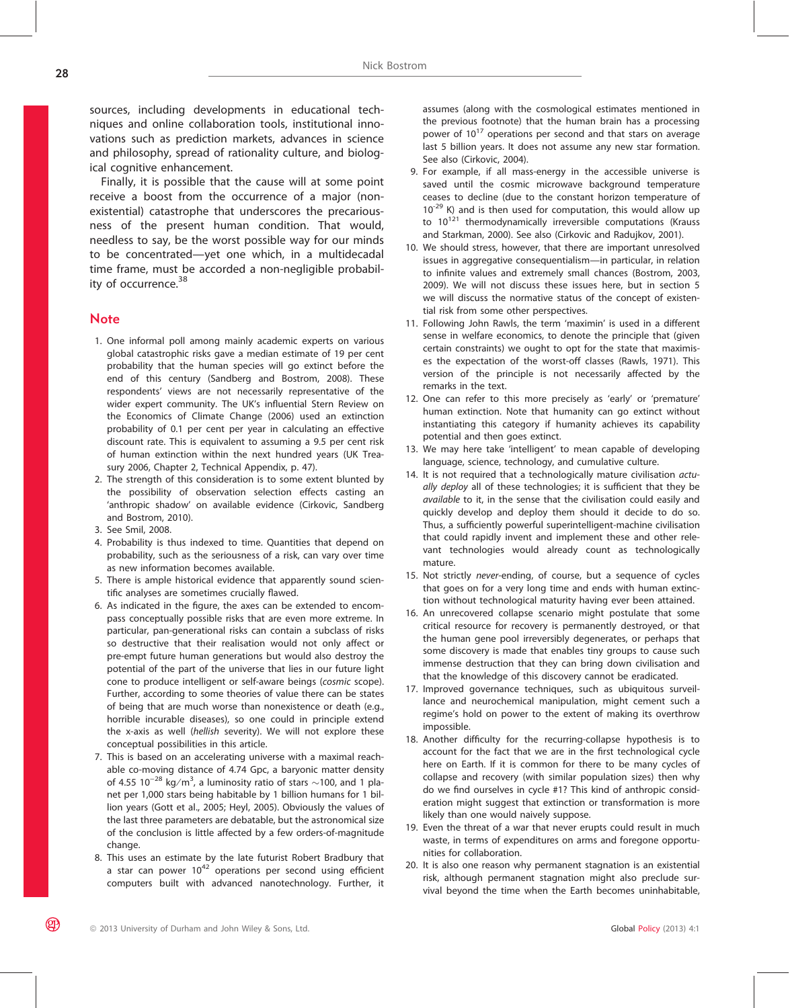sources, including developments in educational techniques and online collaboration tools, institutional innovations such as prediction markets, advances in science and philosophy, spread of rationality culture, and biological cognitive enhancement.

Finally, it is possible that the cause will at some point receive a boost from the occurrence of a major (nonexistential) catastrophe that underscores the precariousness of the present human condition. That would, needless to say, be the worst possible way for our minds to be concentrated—yet one which, in a multidecadal time frame, must be accorded a non-negligible probability of occurrence.<sup>38</sup>

#### Note

- 1. One informal poll among mainly academic experts on various global catastrophic risks gave a median estimate of 19 per cent probability that the human species will go extinct before the end of this century (Sandberg and Bostrom, 2008). These respondents' views are not necessarily representative of the wider expert community. The UK's influential Stern Review on the Economics of Climate Change (2006) used an extinction probability of 0.1 per cent per year in calculating an effective discount rate. This is equivalent to assuming a 9.5 per cent risk of human extinction within the next hundred years (UK Treasury 2006, Chapter 2, Technical Appendix, p. 47).
- 2. The strength of this consideration is to some extent blunted by the possibility of observation selection effects casting an 'anthropic shadow' on available evidence (Cirkovic, Sandberg and Bostrom, 2010).
- 3. See Smil, 2008.
- 4. Probability is thus indexed to time. Quantities that depend on probability, such as the seriousness of a risk, can vary over time as new information becomes available.
- 5. There is ample historical evidence that apparently sound scientific analyses are sometimes crucially flawed.
- 6. As indicated in the figure, the axes can be extended to encompass conceptually possible risks that are even more extreme. In particular, pan-generational risks can contain a subclass of risks so destructive that their realisation would not only affect or pre-empt future human generations but would also destroy the potential of the part of the universe that lies in our future light cone to produce intelligent or self-aware beings (cosmic scope). Further, according to some theories of value there can be states of being that are much worse than nonexistence or death (e.g., horrible incurable diseases), so one could in principle extend the x-axis as well (hellish severity). We will not explore these conceptual possibilities in this article.
- 7. This is based on an accelerating universe with a maximal reachable co-moving distance of 4.74 Gpc, a baryonic matter density of 4.55 10<sup>-28</sup> kg/m<sup>3</sup>, a luminosity ratio of stars  $\sim$ 100, and 1 planet per 1,000 stars being habitable by 1 billion humans for 1 billion years (Gott et al., 2005; Heyl, 2005). Obviously the values of the last three parameters are debatable, but the astronomical size of the conclusion is little affected by a few orders-of-magnitude change.
- 8. This uses an estimate by the late futurist Robert Bradbury that a star can power  $10^{42}$  operations per second using efficient computers built with advanced nanotechnology. Further, it

assumes (along with the cosmological estimates mentioned in the previous footnote) that the human brain has a processing power of 10<sup>17</sup> operations per second and that stars on average last 5 billion years. It does not assume any new star formation. See also (Cirkovic, 2004).

- 9. For example, if all mass-energy in the accessible universe is saved until the cosmic microwave background temperature ceases to decline (due to the constant horizon temperature of  $10^{-29}$  K) and is then used for computation, this would allow up to  $10^{121}$  thermodynamically irreversible computations (Krauss and Starkman, 2000). See also (Cirkovic and Radujkov, 2001).
- 10. We should stress, however, that there are important unresolved issues in aggregative consequentialism—in particular, in relation to infinite values and extremely small chances (Bostrom, 2003, 2009). We will not discuss these issues here, but in section 5 we will discuss the normative status of the concept of existential risk from some other perspectives.
- 11. Following John Rawls, the term 'maximin' is used in a different sense in welfare economics, to denote the principle that (given certain constraints) we ought to opt for the state that maximises the expectation of the worst-off classes (Rawls, 1971). This version of the principle is not necessarily affected by the remarks in the text.
- 12. One can refer to this more precisely as 'early' or 'premature' human extinction. Note that humanity can go extinct without instantiating this category if humanity achieves its capability potential and then goes extinct.
- 13. We may here take 'intelligent' to mean capable of developing language, science, technology, and cumulative culture.
- 14. It is not required that a technologically mature civilisation *actu*ally deploy all of these technologies; it is sufficient that they be available to it, in the sense that the civilisation could easily and quickly develop and deploy them should it decide to do so. Thus, a sufficiently powerful superintelligent-machine civilisation that could rapidly invent and implement these and other relevant technologies would already count as technologically mature.
- 15. Not strictly never-ending, of course, but a sequence of cycles that goes on for a very long time and ends with human extinction without technological maturity having ever been attained.
- 16. An unrecovered collapse scenario might postulate that some critical resource for recovery is permanently destroyed, or that the human gene pool irreversibly degenerates, or perhaps that some discovery is made that enables tiny groups to cause such immense destruction that they can bring down civilisation and that the knowledge of this discovery cannot be eradicated.
- 17. Improved governance techniques, such as ubiquitous surveillance and neurochemical manipulation, might cement such a regime's hold on power to the extent of making its overthrow impossible.
- 18. Another difficulty for the recurring-collapse hypothesis is to account for the fact that we are in the first technological cycle here on Earth. If it is common for there to be many cycles of collapse and recovery (with similar population sizes) then why do we find ourselves in cycle #1? This kind of anthropic consideration might suggest that extinction or transformation is more likely than one would naively suppose.
- 19. Even the threat of a war that never erupts could result in much waste, in terms of expenditures on arms and foregone opportunities for collaboration.
- 20. It is also one reason why permanent stagnation is an existential risk, although permanent stagnation might also preclude survival beyond the time when the Earth becomes uninhabitable,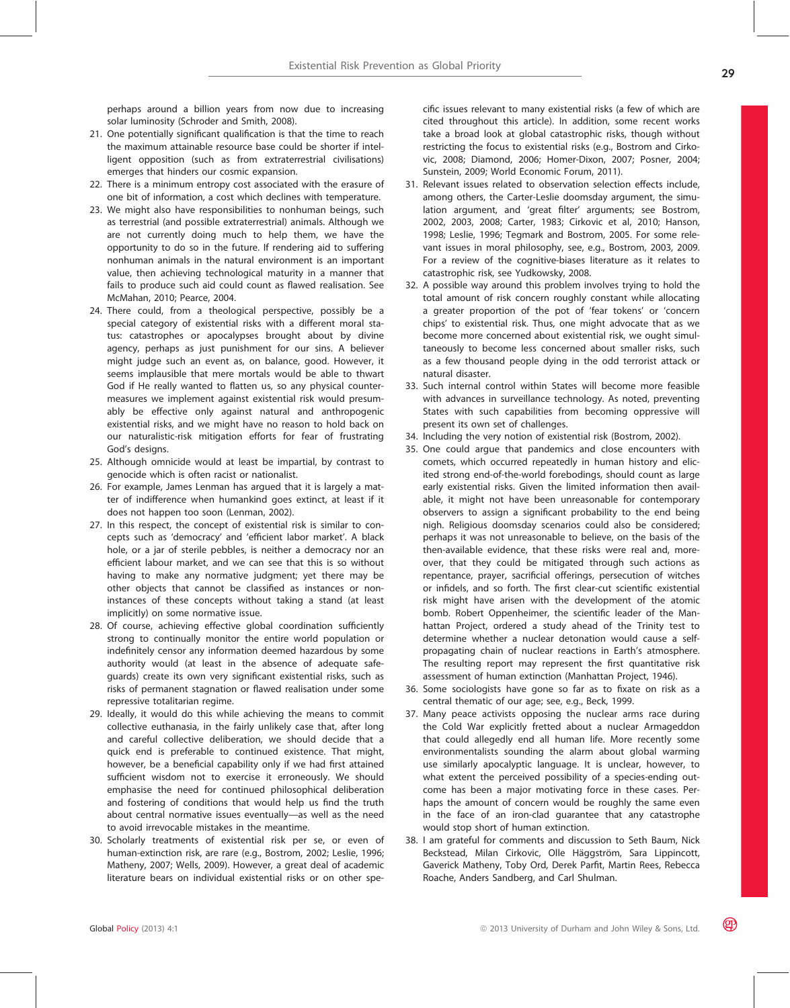perhaps around a billion years from now due to increasing solar luminosity (Schroder and Smith, 2008).

- 21. One potentially significant qualification is that the time to reach the maximum attainable resource base could be shorter if intelligent opposition (such as from extraterrestrial civilisations) emerges that hinders our cosmic expansion.
- 22. There is a minimum entropy cost associated with the erasure of one bit of information, a cost which declines with temperature.
- 23. We might also have responsibilities to nonhuman beings, such as terrestrial (and possible extraterrestrial) animals. Although we are not currently doing much to help them, we have the opportunity to do so in the future. If rendering aid to suffering nonhuman animals in the natural environment is an important value, then achieving technological maturity in a manner that fails to produce such aid could count as flawed realisation. See McMahan, 2010; Pearce, 2004.
- 24. There could, from a theological perspective, possibly be a special category of existential risks with a different moral status: catastrophes or apocalypses brought about by divine agency, perhaps as just punishment for our sins. A believer might judge such an event as, on balance, good. However, it seems implausible that mere mortals would be able to thwart God if He really wanted to flatten us, so any physical countermeasures we implement against existential risk would presumably be effective only against natural and anthropogenic existential risks, and we might have no reason to hold back on our naturalistic-risk mitigation efforts for fear of frustrating God's designs.
- 25. Although omnicide would at least be impartial, by contrast to genocide which is often racist or nationalist.
- 26. For example, James Lenman has argued that it is largely a matter of indifference when humankind goes extinct, at least if it does not happen too soon (Lenman, 2002).
- 27. In this respect, the concept of existential risk is similar to concepts such as 'democracy' and 'efficient labor market'. A black hole, or a jar of sterile pebbles, is neither a democracy nor an efficient labour market, and we can see that this is so without having to make any normative judgment; yet there may be other objects that cannot be classified as instances or noninstances of these concepts without taking a stand (at least implicitly) on some normative issue.
- 28. Of course, achieving effective global coordination sufficiently strong to continually monitor the entire world population or indefinitely censor any information deemed hazardous by some authority would (at least in the absence of adequate safeguards) create its own very significant existential risks, such as risks of permanent stagnation or flawed realisation under some repressive totalitarian regime.
- 29. Ideally, it would do this while achieving the means to commit collective euthanasia, in the fairly unlikely case that, after long and careful collective deliberation, we should decide that a quick end is preferable to continued existence. That might, however, be a beneficial capability only if we had first attained sufficient wisdom not to exercise it erroneously. We should emphasise the need for continued philosophical deliberation and fostering of conditions that would help us find the truth about central normative issues eventually—as well as the need to avoid irrevocable mistakes in the meantime.
- 30. Scholarly treatments of existential risk per se, or even of human-extinction risk, are rare (e.g., Bostrom, 2002; Leslie, 1996; Matheny, 2007; Wells, 2009). However, a great deal of academic literature bears on individual existential risks or on other spe-

cific issues relevant to many existential risks (a few of which are cited throughout this article). In addition, some recent works take a broad look at global catastrophic risks, though without restricting the focus to existential risks (e.g., Bostrom and Cirkovic, 2008; Diamond, 2006; Homer-Dixon, 2007; Posner, 2004; Sunstein, 2009; World Economic Forum, 2011).

- 31. Relevant issues related to observation selection effects include, among others, the Carter-Leslie doomsday argument, the simulation argument, and 'great filter' arguments; see Bostrom, 2002, 2003, 2008; Carter, 1983; Cirkovic et al, 2010; Hanson, 1998; Leslie, 1996; Tegmark and Bostrom, 2005. For some relevant issues in moral philosophy, see, e.g., Bostrom, 2003, 2009. For a review of the cognitive-biases literature as it relates to catastrophic risk, see Yudkowsky, 2008.
- 32. A possible way around this problem involves trying to hold the total amount of risk concern roughly constant while allocating a greater proportion of the pot of 'fear tokens' or 'concern chips' to existential risk. Thus, one might advocate that as we become more concerned about existential risk, we ought simultaneously to become less concerned about smaller risks, such as a few thousand people dying in the odd terrorist attack or natural disaster.
- 33. Such internal control within States will become more feasible with advances in surveillance technology. As noted, preventing States with such capabilities from becoming oppressive will present its own set of challenges.
- 34. Including the very notion of existential risk (Bostrom, 2002).
- 35. One could argue that pandemics and close encounters with comets, which occurred repeatedly in human history and elicited strong end-of-the-world forebodings, should count as large early existential risks. Given the limited information then available, it might not have been unreasonable for contemporary observers to assign a significant probability to the end being nigh. Religious doomsday scenarios could also be considered; perhaps it was not unreasonable to believe, on the basis of the then-available evidence, that these risks were real and, moreover, that they could be mitigated through such actions as repentance, prayer, sacrificial offerings, persecution of witches or infidels, and so forth. The first clear-cut scientific existential risk might have arisen with the development of the atomic bomb. Robert Oppenheimer, the scientific leader of the Manhattan Project, ordered a study ahead of the Trinity test to determine whether a nuclear detonation would cause a selfpropagating chain of nuclear reactions in Earth's atmosphere. The resulting report may represent the first quantitative risk assessment of human extinction (Manhattan Project, 1946).
- 36. Some sociologists have gone so far as to fixate on risk as a central thematic of our age; see, e.g., Beck, 1999.
- 37. Many peace activists opposing the nuclear arms race during the Cold War explicitly fretted about a nuclear Armageddon that could allegedly end all human life. More recently some environmentalists sounding the alarm about global warming use similarly apocalyptic language. It is unclear, however, to what extent the perceived possibility of a species-ending outcome has been a major motivating force in these cases. Perhaps the amount of concern would be roughly the same even in the face of an iron-clad guarantee that any catastrophe would stop short of human extinction.
- 38. I am grateful for comments and discussion to Seth Baum, Nick Beckstead, Milan Cirkovic, Olle Häggström, Sara Lippincott, Gaverick Matheny, Toby Ord, Derek Parfit, Martin Rees, Rebecca Roache, Anders Sandberg, and Carl Shulman.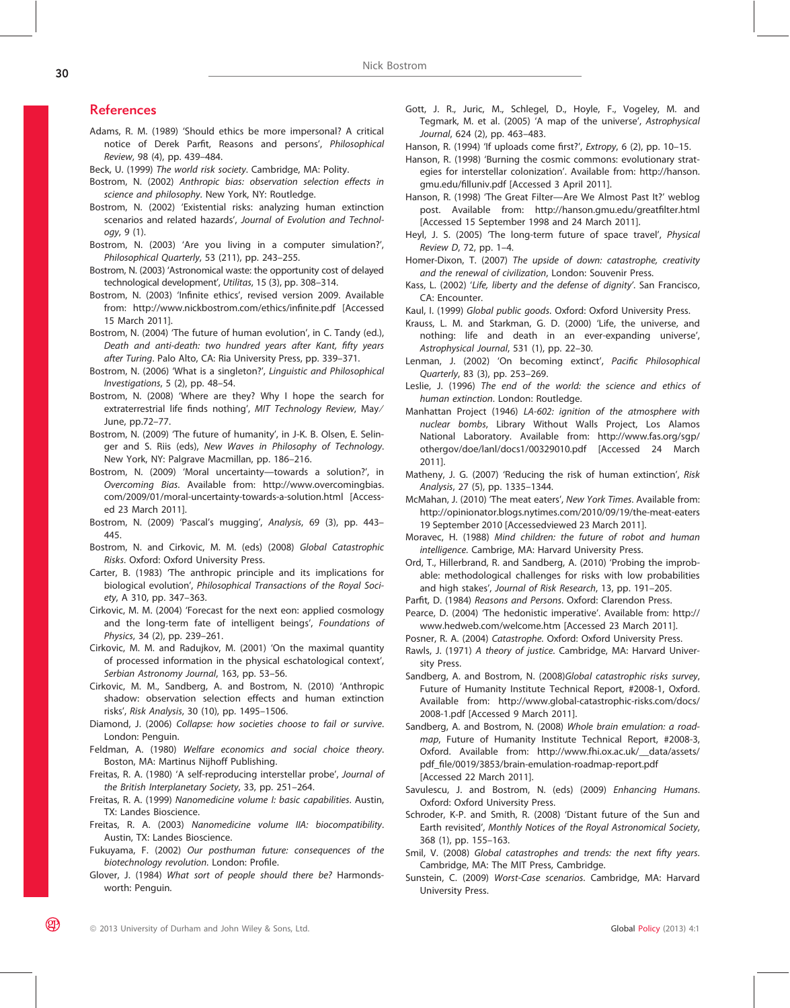#### References

- Adams, R. M. (1989) 'Should ethics be more impersonal? A critical notice of Derek Parfit, Reasons and persons', Philosophical Review, 98 (4), pp. 439–484.
- Beck, U. (1999) The world risk society. Cambridge, MA: Polity.
- Bostrom, N. (2002) Anthropic bias: observation selection effects in science and philosophy. New York, NY: Routledge.
- Bostrom, N. (2002) 'Existential risks: analyzing human extinction scenarios and related hazards', Journal of Evolution and Technology, 9 (1).
- Bostrom, N. (2003) 'Are you living in a computer simulation?', Philosophical Quarterly, 53 (211), pp. 243–255.
- Bostrom, N. (2003) 'Astronomical waste: the opportunity cost of delayed technological development', Utilitas, 15 (3), pp. 308–314.
- Bostrom, N. (2003) 'Infinite ethics', revised version 2009. Available from: http://www.nickbostrom.com/ethics/infinite.pdf [Accessed 15 March 2011].
- Bostrom, N. (2004) 'The future of human evolution', in C. Tandy (ed.), Death and anti-death: two hundred years after Kant, fifty years after Turing. Palo Alto, CA: Ria University Press, pp. 339–371.
- Bostrom, N. (2006) 'What is a singleton?', Linguistic and Philosophical Investigations, 5 (2), pp. 48–54.
- Bostrom, N. (2008) 'Where are they? Why I hope the search for extraterrestrial life finds nothing', MIT Technology Review, May/ June, pp.72–77.
- Bostrom, N. (2009) 'The future of humanity', in J-K. B. Olsen, E. Selinger and S. Riis (eds), New Waves in Philosophy of Technology. New York, NY: Palgrave Macmillan, pp. 186–216.
- Bostrom, N. (2009) 'Moral uncertainty—towards a solution?', in Overcoming Bias. Available from: http://www.overcomingbias. com/2009/01/moral-uncertainty-towards-a-solution.html [Accessed 23 March 2011].
- Bostrom, N. (2009) 'Pascal's mugging', Analysis, 69 (3), pp. 443– 445.
- Bostrom, N. and Cirkovic, M. M. (eds) (2008) Global Catastrophic Risks. Oxford: Oxford University Press.
- Carter, B. (1983) 'The anthropic principle and its implications for biological evolution', Philosophical Transactions of the Royal Society, A 310, pp. 347–363.
- Cirkovic, M. M. (2004) 'Forecast for the next eon: applied cosmology and the long-term fate of intelligent beings', Foundations of Physics, 34 (2), pp. 239–261.
- Cirkovic, M. M. and Radujkov, M. (2001) 'On the maximal quantity of processed information in the physical eschatological context', Serbian Astronomy Journal, 163, pp. 53–56.
- Cirkovic, M. M., Sandberg, A. and Bostrom, N. (2010) 'Anthropic shadow: observation selection effects and human extinction risks', Risk Analysis, 30 (10), pp. 1495–1506.
- Diamond, J. (2006) Collapse: how societies choose to fail or survive. London: Penguin.
- Feldman, A. (1980) Welfare economics and social choice theory. Boston, MA: Martinus Nijhoff Publishing.
- Freitas, R. A. (1980) 'A self-reproducing interstellar probe', Journal of the British Interplanetary Society, 33, pp. 251–264.
- Freitas, R. A. (1999) Nanomedicine volume I: basic capabilities. Austin, TX: Landes Bioscience.
- Freitas, R. A. (2003) Nanomedicine volume IIA: biocompatibility. Austin, TX: Landes Bioscience.
- Fukuyama, F. (2002) Our posthuman future: consequences of the biotechnology revolution. London: Profile.
- Glover, J. (1984) What sort of people should there be? Harmondsworth: Penguin.
- Gott, J. R., Juric, M., Schlegel, D., Hoyle, F., Vogeley, M. and Tegmark, M. et al. (2005) 'A map of the universe', Astrophysical Journal, 624 (2), pp. 463–483.
- Hanson, R. (1994) 'If uploads come first?', Extropy, 6 (2), pp. 10–15.
- Hanson, R. (1998) 'Burning the cosmic commons: evolutionary strategies for interstellar colonization'. Available from: http://hanson. gmu.edu/filluniv.pdf [Accessed 3 April 2011].
- Hanson, R. (1998) 'The Great Filter—Are We Almost Past It?' weblog post. Available from: http://hanson.gmu.edu/greatfilter.html [Accessed 15 September 1998 and 24 March 2011].
- Heyl, J. S. (2005) 'The long-term future of space travel', Physical Review D, 72, pp. 1–4.
- Homer-Dixon, T. (2007) The upside of down: catastrophe, creativity and the renewal of civilization, London: Souvenir Press.
- Kass, L. (2002) 'Life, liberty and the defense of dignity'. San Francisco, CA: Encounter.
- Kaul, I. (1999) Global public goods. Oxford: Oxford University Press.
- Krauss, L. M. and Starkman, G. D. (2000) 'Life, the universe, and nothing: life and death in an ever-expanding universe', Astrophysical Journal, 531 (1), pp. 22–30.
- Lenman, J. (2002) 'On becoming extinct', Pacific Philosophical Quarterly, 83 (3), pp. 253–269.
- Leslie, J. (1996) The end of the world: the science and ethics of human extinction. London: Routledge.
- Manhattan Project (1946) LA-602: ignition of the atmosphere with nuclear bombs, Library Without Walls Project, Los Alamos National Laboratory. Available from: http://www.fas.org/sgp/ othergov/doe/lanl/docs1/00329010.pdf [Accessed 24 March 2011].
- Matheny, J. G. (2007) 'Reducing the risk of human extinction', Risk Analysis, 27 (5), pp. 1335–1344.
- McMahan, J. (2010) 'The meat eaters', New York Times. Available from: http://opinionator.blogs.nytimes.com/2010/09/19/the-meat-eaters 19 September 2010 [Accessedviewed 23 March 2011].
- Moravec, H. (1988) Mind children: the future of robot and human intelligence. Cambrige, MA: Harvard University Press.
- Ord, T., Hillerbrand, R. and Sandberg, A. (2010) 'Probing the improbable: methodological challenges for risks with low probabilities and high stakes', Journal of Risk Research, 13, pp. 191–205.
- Parfit, D. (1984) Reasons and Persons. Oxford: Clarendon Press.
- Pearce, D. (2004) 'The hedonistic imperative'. Available from: http:// www.hedweb.com/welcome.htm [Accessed 23 March 2011].
- Posner, R. A. (2004) Catastrophe. Oxford: Oxford University Press.
- Rawls, J. (1971) A theory of justice. Cambridge, MA: Harvard University Press.
- Sandberg, A. and Bostrom, N. (2008)Global catastrophic risks survey, Future of Humanity Institute Technical Report, #2008-1, Oxford. Available from: http://www.global-catastrophic-risks.com/docs/ 2008-1.pdf [Accessed 9 March 2011].
- Sandberg, A. and Bostrom, N. (2008) Whole brain emulation: a roadmap, Future of Humanity Institute Technical Report, #2008-3, Oxford. Available from: http://www.fhi.ox.ac.uk/\_\_data/assets/ pdf\_file/0019/3853/brain-emulation-roadmap-report.pdf [Accessed 22 March 2011].
- Savulescu, J. and Bostrom, N. (eds) (2009) Enhancing Humans. Oxford: Oxford University Press.
- Schroder, K-P. and Smith, R. (2008) 'Distant future of the Sun and Earth revisited', Monthly Notices of the Royal Astronomical Society, 368 (1), pp. 155–163.
- Smil, V. (2008) Global catastrophes and trends: the next fifty years. Cambridge, MA: The MIT Press, Cambridge.
- Sunstein, C. (2009) Worst-Case scenarios. Cambridge, MA: Harvard University Press.